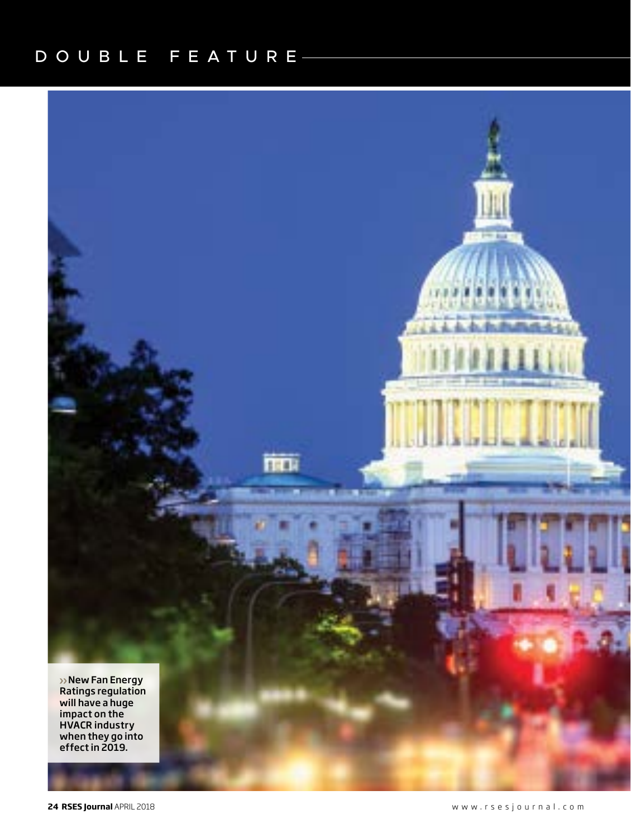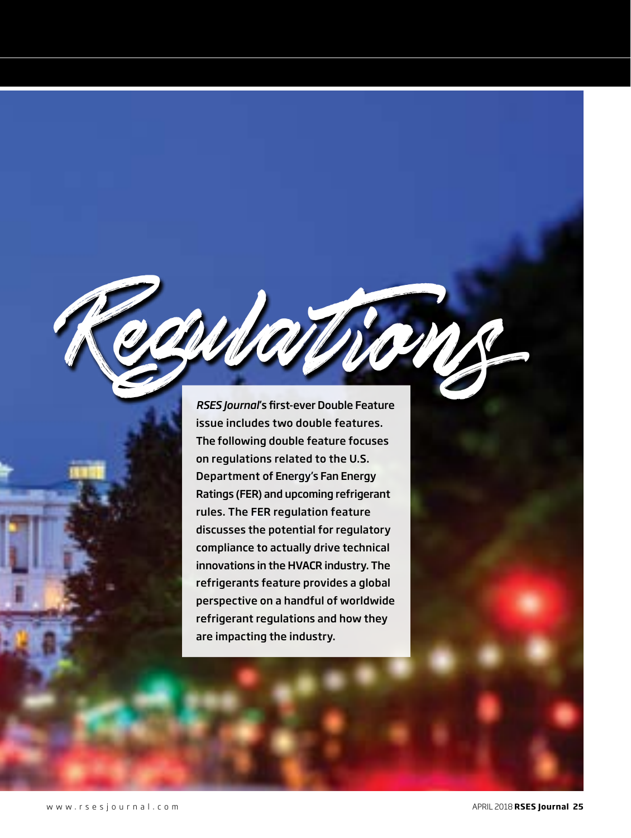*RSES Journal*'s first-ever Double Feature issue includes two double features. The following double feature focuses on regulations related to the U.S. Department of Energy's Fan Energy Ratings (FER) and upcoming refrigerant rules. The FER regulation feature discusses the potential for regulatory compliance to actually drive technical innovations in the HVACR industry. The refrigerants feature provides a global perspective on a handful of worldwide refrigerant regulations and how they are impacting the industry.

Regulations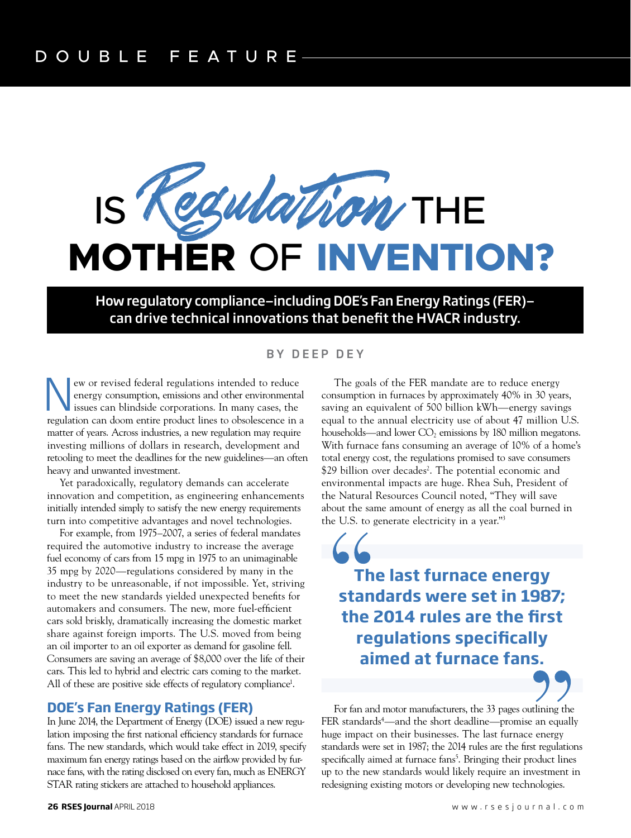

How regulatory compliance—including DOE's Fan Energy Ratings (FER) can drive technical innovations that benefit the HVACR industry.

#### BY DEEP DEY

New or revised federal regulations intended to reduce<br>energy consumption, emissions and other environmental<br>issues can blindside corporations. In many cases, the<br>regulation can doom entire product lines to obsolescence in energy consumption, emissions and other environmental issues can blindside corporations. In many cases, the regulation can doom entire product lines to obsolescence in a matter of years. Across industries, a new regulation may require investing millions of dollars in research, development and retooling to meet the deadlines for the new guidelines—an often heavy and unwanted investment.

Yet paradoxically, regulatory demands can accelerate innovation and competition, as engineering enhancements initially intended simply to satisfy the new energy requirements turn into competitive advantages and novel technologies.

For example, from 1975–2007, a series of federal mandates required the automotive industry to increase the average fuel economy of cars from 15 mpg in 1975 to an unimaginable 35 mpg by 2020—regulations considered by many in the industry to be unreasonable, if not impossible. Yet, striving to meet the new standards yielded unexpected benefits for automakers and consumers. The new, more fuel-efficient cars sold briskly, dramatically increasing the domestic market share against foreign imports. The U.S. moved from being an oil importer to an oil exporter as demand for gasoline fell. Consumers are saving an average of \$8,000 over the life of their cars. This led to hybrid and electric cars coming to the market. All of these are positive side effects of regulatory compliance<sup>1</sup>.

### **DOE's Fan Energy Ratings (FER)**

In June 2014, the Department of Energy (DOE) issued a new regulation imposing the first national efficiency standards for furnace fans. The new standards, which would take effect in 2019, specify maximum fan energy ratings based on the airflow provided by furnace fans, with the rating disclosed on every fan, much as ENERGY STAR rating stickers are attached to household appliances.

The goals of the FER mandate are to reduce energy consumption in furnaces by approximately 40% in 30 years, saving an equivalent of 500 billion kWh—energy savings equal to the annual electricity use of about 47 million U.S. households—and lower  $CO<sub>2</sub>$  emissions by 180 million megatons. With furnace fans consuming an average of 10% of a home's total energy cost, the regulations promised to save consumers \$29 billion over decades<sup>2</sup>. The potential economic and environmental impacts are huge. Rhea Suh, President of the Natural Resources Council noted, "They will save about the same amount of energy as all the coal burned in the U.S. to generate electricity in a year."3

**The last furnace energy standards were set in 1987; the 2014 rules are the first regulations specifically aimed at furnace fans.**

For fan and motor manufacturers, the 33 pages outlining the FER standards4 —and the short deadline—promise an equally huge impact on their businesses. The last furnace energy standards were set in 1987; the 2014 rules are the first regulations specifically aimed at furnace fans<sup>5</sup>. Bringing their product lines up to the new standards would likely require an investment in redesigning existing motors or developing new technologies.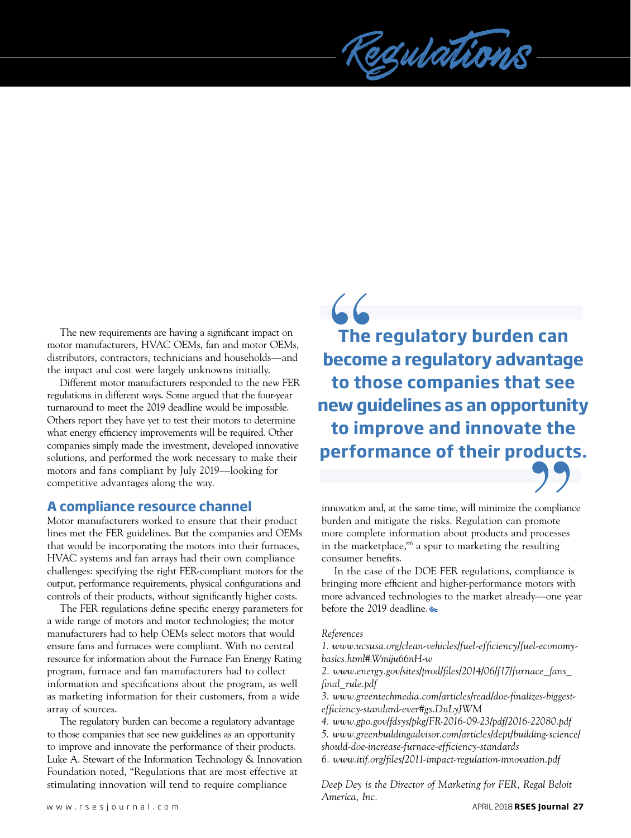

The new requirements are having a significant impact on motor manufacturers, HVAC OEMs, fan and motor OEMs, distributors, contractors, technicians and households—and the impact and cost were largely unknowns initially.

Different motor manufacturers responded to the new FER regulations in different ways. Some argued that the four-year turnaround to meet the 2019 deadline would be impossible. Others report they have yet to test their motors to determine what energy efficiency improvements will be required. Other companies simply made the investment, developed innovative solutions, and performed the work necessary to make their motors and fans compliant by July 2019—looking for competitive advantages along the way.

## **A compliance resource channel**

Motor manufacturers worked to ensure that their product lines met the FER guidelines. But the companies and OEMs that would be incorporating the motors into their furnaces, HVAC systems and fan arrays had their own compliance challenges: specifying the right FER-compliant motors for the output, performance requirements, physical configurations and controls of their products, without significantly higher costs.

The FER regulations define specific energy parameters for a wide range of motors and motor technologies; the motor manufacturers had to help OEMs select motors that would ensure fans and furnaces were compliant. With no central resource for information about the Furnace Fan Energy Rating program, furnace and fan manufacturers had to collect information and specifications about the program, as well as marketing information for their customers, from a wide array of sources.

The regulatory burden can become a regulatory advantage to those companies that see new guidelines as an opportunity to improve and innovate the performance of their products. Luke A. Stewart of the Information Technology & Innovation Foundation noted, "Regulations that are most effective at stimulating innovation will tend to require compliance

**The regulatory burden can become a regulatory advantage to those companies that see new guidelines as an opportunity to improve and innovate the performance of their products.**  $66$ <br>The becom<br>to the



innovation and, at the same time, will minimize the compliance burden and mitigate the risks. Regulation can promote more complete information about products and processes in the marketplace,"6 a spur to marketing the resulting consumer benefits.

In the case of the DOE FER regulations, compliance is bringing more efficient and higher-performance motors with more advanced technologies to the market already—one year before the 2019 deadline.

#### *References*

*1. www.ucsusa.org/clean-vehicles/fuel-efficiency/fuel-economybasics.html#.Wmiju66nH-w*

*2. www.energy.gov/sites/prod/files/2014/06/f17/furnace\_fans\_ final\_rule.pdf*

*3. www.greentechmedia.com/articles/read/doe-finalizes-biggestefficiency-standard-ever#gs.DnLyJWM*

*4. www.gpo.gov/fdsys/pkg/FR-2016-09-23/pdf/2016-22080.pdf 5. www.greenbuildingadvisor.com/articles/dept/building-science/ should-doe-increase-furnace-efficiency-standards 6. www.itif.org/files/2011-impact-regulation-innovation.pdf*

*Deep Dey is the Director of Marketing for FER, Regal Beloit America, Inc.*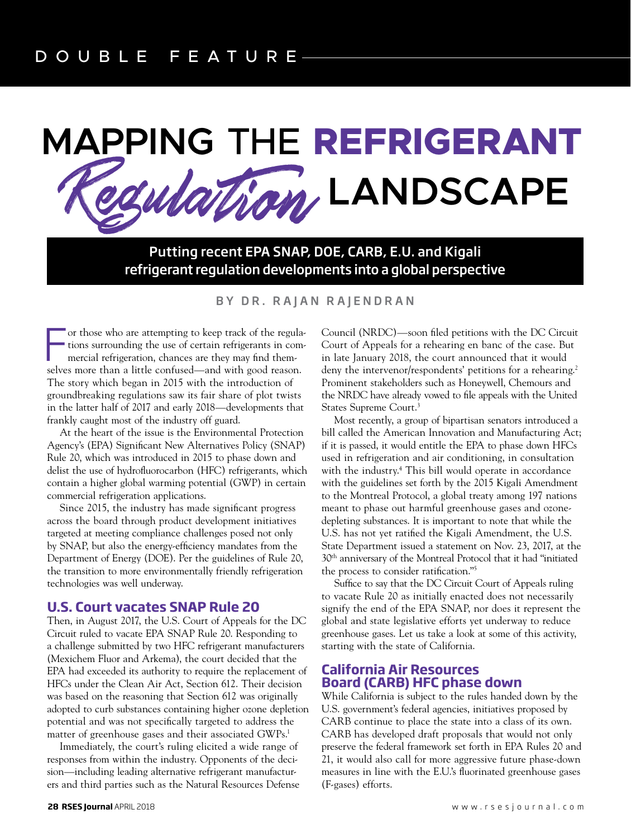# Regulation **MAPPING** THE **REFRIGERANT LANDSCAPE**

Putting recent EPA SNAP, DOE, CARB, E.U. and Kigali refrigerant regulation developments into a global perspective

#### BY DR. RAJAN RAJENDRAN

For those who are attempting to keep track of the regulations surrounding the use of certain refrigerants in commercial refrigeration, chances are they may find themselves more than a little confused—and with good reason. or those who are attempting to keep track of the regulations surrounding the use of certain refrigerants in commercial refrigeration, chances are they may find them-The story which began in 2015 with the introduction of groundbreaking regulations saw its fair share of plot twists in the latter half of 2017 and early 2018—developments that frankly caught most of the industry off guard.

At the heart of the issue is the Environmental Protection Agency's (EPA) Significant New Alternatives Policy (SNAP) Rule 20, which was introduced in 2015 to phase down and delist the use of hydrofluorocarbon (HFC) refrigerants, which contain a higher global warming potential (GWP) in certain commercial refrigeration applications.

Since 2015, the industry has made significant progress across the board through product development initiatives targeted at meeting compliance challenges posed not only by SNAP, but also the energy-efficiency mandates from the Department of Energy (DOE). Per the guidelines of Rule 20, the transition to more environmentally friendly refrigeration technologies was well underway.

#### **U.S. Court vacates SNAP Rule 20**

Then, in August 2017, the U.S. Court of Appeals for the DC Circuit ruled to vacate EPA SNAP Rule 20. Responding to a challenge submitted by two HFC refrigerant manufacturers (Mexichem Fluor and Arkema), the court decided that the EPA had exceeded its authority to require the replacement of HFCs under the Clean Air Act, Section 612. Their decision was based on the reasoning that Section 612 was originally adopted to curb substances containing higher ozone depletion potential and was not specifically targeted to address the matter of greenhouse gases and their associated GWPs.<sup>1</sup>

Immediately, the court's ruling elicited a wide range of responses from within the industry. Opponents of the decision—including leading alternative refrigerant manufacturers and third parties such as the Natural Resources Defense

Council (NRDC)—soon filed petitions with the DC Circuit Court of Appeals for a rehearing en banc of the case. But in late January 2018, the court announced that it would deny the intervenor/respondents' petitions for a rehearing.<sup>2</sup> Prominent stakeholders such as Honeywell, Chemours and the NRDC have already vowed to file appeals with the United States Supreme Court.3

Most recently, a group of bipartisan senators introduced a bill called the American Innovation and Manufacturing Act; if it is passed, it would entitle the EPA to phase down HFCs used in refrigeration and air conditioning, in consultation with the industry.<sup>4</sup> This bill would operate in accordance with the guidelines set forth by the 2015 Kigali Amendment to the Montreal Protocol, a global treaty among 197 nations meant to phase out harmful greenhouse gases and ozonedepleting substances. It is important to note that while the U.S. has not yet ratified the Kigali Amendment, the U.S. State Department issued a statement on Nov. 23, 2017, at the 30th anniversary of the Montreal Protocol that it had "initiated the process to consider ratification."5

Suffice to say that the DC Circuit Court of Appeals ruling to vacate Rule 20 as initially enacted does not necessarily signify the end of the EPA SNAP, nor does it represent the global and state legislative efforts yet underway to reduce greenhouse gases. Let us take a look at some of this activity, starting with the state of California.

#### **California Air Resources Board (CARB) HFC phase down**

While California is subject to the rules handed down by the U.S. government's federal agencies, initiatives proposed by CARB continue to place the state into a class of its own. CARB has developed draft proposals that would not only preserve the federal framework set forth in EPA Rules 20 and 21, it would also call for more aggressive future phase-down measures in line with the E.U.'s fluorinated greenhouse gases (F-gases) efforts.